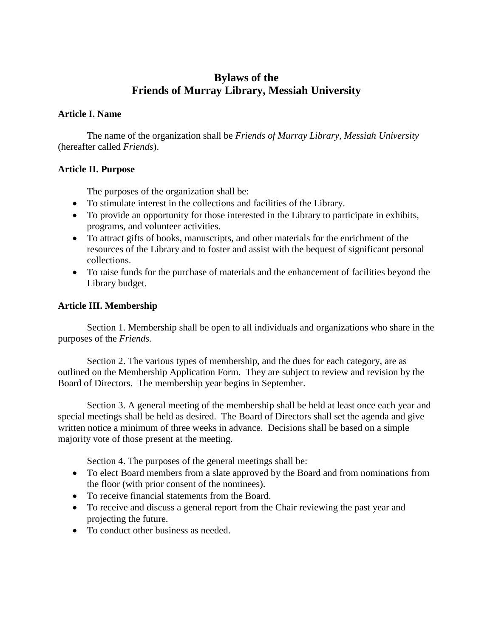# **Bylaws of the Friends of Murray Library, Messiah University**

#### **Article I. Name**

The name of the organization shall be *Friends of Murray Library, Messiah University*  (hereafter called *Friends*).

## **Article II. Purpose**

The purposes of the organization shall be:

- To stimulate interest in the collections and facilities of the Library.
- To provide an opportunity for those interested in the Library to participate in exhibits, programs, and volunteer activities.
- To attract gifts of books, manuscripts, and other materials for the enrichment of the resources of the Library and to foster and assist with the bequest of significant personal collections.
- To raise funds for the purchase of materials and the enhancement of facilities beyond the Library budget.

#### **Article III. Membership**

Section 1. Membership shall be open to all individuals and organizations who share in the purposes of the *Friends.*

Section 2. The various types of membership, and the dues for each category, are as outlined on the Membership Application Form. They are subject to review and revision by the Board of Directors. The membership year begins in September.

Section 3. A general meeting of the membership shall be held at least once each year and special meetings shall be held as desired. The Board of Directors shall set the agenda and give written notice a minimum of three weeks in advance. Decisions shall be based on a simple majority vote of those present at the meeting.

Section 4. The purposes of the general meetings shall be:

- To elect Board members from a slate approved by the Board and from nominations from the floor (with prior consent of the nominees).
- To receive financial statements from the Board.
- To receive and discuss a general report from the Chair reviewing the past year and projecting the future.
- To conduct other business as needed.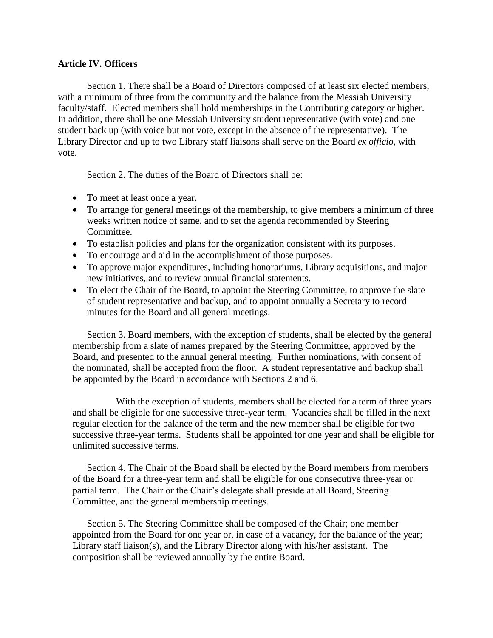#### **Article IV. Officers**

Section 1. There shall be a Board of Directors composed of at least six elected members, with a minimum of three from the community and the balance from the Messiah University faculty/staff. Elected members shall hold memberships in the Contributing category or higher. In addition, there shall be one Messiah University student representative (with vote) and one student back up (with voice but not vote, except in the absence of the representative). The Library Director and up to two Library staff liaisons shall serve on the Board *ex officio,* with vote.

Section 2. The duties of the Board of Directors shall be:

- To meet at least once a year.
- To arrange for general meetings of the membership, to give members a minimum of three weeks written notice of same, and to set the agenda recommended by Steering Committee.
- To establish policies and plans for the organization consistent with its purposes.
- To encourage and aid in the accomplishment of those purposes.
- To approve major expenditures, including honorariums, Library acquisitions, and major new initiatives, and to review annual financial statements.
- To elect the Chair of the Board, to appoint the Steering Committee, to approve the slate of student representative and backup, and to appoint annually a Secretary to record minutes for the Board and all general meetings.

Section 3. Board members, with the exception of students, shall be elected by the general membership from a slate of names prepared by the Steering Committee, approved by the Board, and presented to the annual general meeting. Further nominations, with consent of the nominated, shall be accepted from the floor. A student representative and backup shall be appointed by the Board in accordance with Sections 2 and 6.

With the exception of students, members shall be elected for a term of three years and shall be eligible for one successive three-year term. Vacancies shall be filled in the next regular election for the balance of the term and the new member shall be eligible for two successive three-year terms. Students shall be appointed for one year and shall be eligible for unlimited successive terms.

Section 4. The Chair of the Board shall be elected by the Board members from members of the Board for a three-year term and shall be eligible for one consecutive three-year or partial term. The Chair or the Chair's delegate shall preside at all Board, Steering Committee, and the general membership meetings.

Section 5. The Steering Committee shall be composed of the Chair; one member appointed from the Board for one year or, in case of a vacancy, for the balance of the year; Library staff liaison(s), and the Library Director along with his/her assistant. The composition shall be reviewed annually by the entire Board.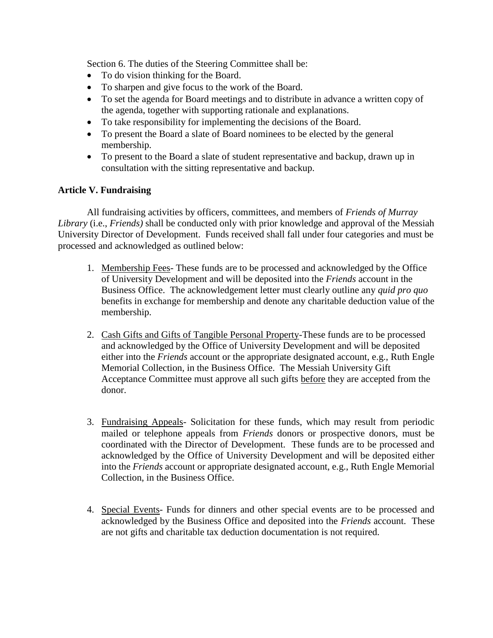Section 6. The duties of the Steering Committee shall be:

- To do vision thinking for the Board.
- To sharpen and give focus to the work of the Board.
- To set the agenda for Board meetings and to distribute in advance a written copy of the agenda, together with supporting rationale and explanations.
- To take responsibility for implementing the decisions of the Board.
- To present the Board a slate of Board nominees to be elected by the general membership.
- To present to the Board a slate of student representative and backup, drawn up in consultation with the sitting representative and backup.

## **Article V. Fundraising**

All fundraising activities by officers, committees, and members of *Friends of Murray Library* (i.e., *Friends)* shall be conducted only with prior knowledge and approval of the Messiah University Director of Development. Funds received shall fall under four categories and must be processed and acknowledged as outlined below:

- 1. Membership Fees- These funds are to be processed and acknowledged by the Office of University Development and will be deposited into the *Friends* account in the Business Office. The acknowledgement letter must clearly outline any *quid pro quo* benefits in exchange for membership and denote any charitable deduction value of the membership.
- 2. Cash Gifts and Gifts of Tangible Personal Property-These funds are to be processed and acknowledged by the Office of University Development and will be deposited either into the *Friends* account or the appropriate designated account, e.g., Ruth Engle Memorial Collection, in the Business Office. The Messiah University Gift Acceptance Committee must approve all such gifts before they are accepted from the donor.
- 3. Fundraising Appeals- Solicitation for these funds, which may result from periodic mailed or telephone appeals from *Friends* donors or prospective donors, must be coordinated with the Director of Development. These funds are to be processed and acknowledged by the Office of University Development and will be deposited either into the *Friends* account or appropriate designated account, e.g., Ruth Engle Memorial Collection, in the Business Office.
- 4. Special Events- Funds for dinners and other special events are to be processed and acknowledged by the Business Office and deposited into the *Friends* account. These are not gifts and charitable tax deduction documentation is not required.